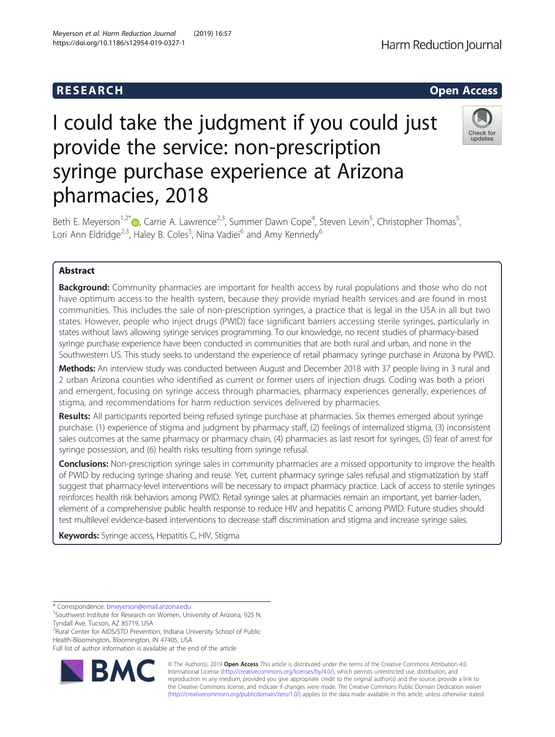# **RESEARCH CHEAR CHEAR CHEAR CHEAR CHEAR CHEAR CHEAR CHEAR CHEAR CHEAR CHEAR CHEAR CHEAR CHEAR CHEAR CHEAR CHEAR**

# I could take the judgment if you could just provide the service: non-prescription syringe purchase experience at Arizona pharmacies, 2018

Beth E. Meyerson<sup>1[,](http://orcid.org/0000-0003-1762-7179)2\*</sup> D, Carrie A. Lawrence<sup>2,3</sup>, Summer Dawn Cope<sup>4</sup>, Steven Levin<sup>5</sup>, Christopher Thomas<sup>5</sup> , Lori Ann Eldridge<sup>2,3</sup>, Haley B. Coles<sup>5</sup>, Nina Vadiei<sup>6</sup> and Amy Kennedy<sup>6</sup>

# Abstract

**Background:** Community pharmacies are important for health access by rural populations and those who do not have optimum access to the health system, because they provide myriad health services and are found in most communities. This includes the sale of non-prescription syringes, a practice that is legal in the USA in all but two states. However, people who inject drugs (PWID) face significant barriers accessing sterile syringes, particularly in states without laws allowing syringe services programming. To our knowledge, no recent studies of pharmacy-based syringe purchase experience have been conducted in communities that are both rural and urban, and none in the Southwestern US. This study seeks to understand the experience of retail pharmacy syringe purchase in Arizona by PWID.

Methods: An interview study was conducted between August and December 2018 with 37 people living in 3 rural and 2 urban Arizona counties who identified as current or former users of injection drugs. Coding was both a priori and emergent, focusing on syringe access through pharmacies, pharmacy experiences generally, experiences of stigma, and recommendations for harm reduction services delivered by pharmacies.

Results: All participants reported being refused syringe purchase at pharmacies. Six themes emerged about syringe purchase: (1) experience of stigma and judgment by pharmacy staff, (2) feelings of internalized stigma, (3) inconsistent sales outcomes at the same pharmacy or pharmacy chain, (4) pharmacies as last resort for syringes, (5) fear of arrest for syringe possession, and (6) health risks resulting from syringe refusal.

Conclusions: Non-prescription syringe sales in community pharmacies are a missed opportunity to improve the health of PWID by reducing syringe sharing and reuse. Yet, current pharmacy syringe sales refusal and stigmatization by staff suggest that pharmacy-level interventions will be necessary to impact pharmacy practice. Lack of access to sterile syringes reinforces health risk behaviors among PWID. Retail syringe sales at pharmacies remain an important, yet barrier-laden, element of a comprehensive public health response to reduce HIV and hepatitis C among PWID. Future studies should test multilevel evidence-based interventions to decrease staff discrimination and stigma and increase syringe sales.

Keywords: Syringe access, Hepatitis C, HIV, Stigma

<sup>2</sup><br>Rural Center for AIDS/STD Prevention, Indiana University School of Public Health-Bloomington, Bloomington, IN 47405, USA



© The Author(s). 2019 **Open Access** This article is distributed under the terms of the Creative Commons Attribution 4.0 International License [\(http://creativecommons.org/licenses/by/4.0/](http://creativecommons.org/licenses/by/4.0/)), which permits unrestricted use, distribution, and reproduction in any medium, provided you give appropriate credit to the original author(s) and the source, provide a link to the Creative Commons license, and indicate if changes were made. The Creative Commons Public Domain Dedication waiver [\(http://creativecommons.org/publicdomain/zero/1.0/](http://creativecommons.org/publicdomain/zero/1.0/)) applies to the data made available in this article, unless otherwise stated.

Harm Reduction Journal



<sup>\*</sup> Correspondence: [bmeyerson@email.arizona.edu](mailto:bmeyerson@email.arizona.edu) <sup>1</sup>

<sup>&</sup>lt;sup>1</sup> Southwest Institute for Research on Women, University of Arizona, 925 N. Tyndall Ave, Tucson, AZ 85719, USA

Full list of author information is available at the end of the article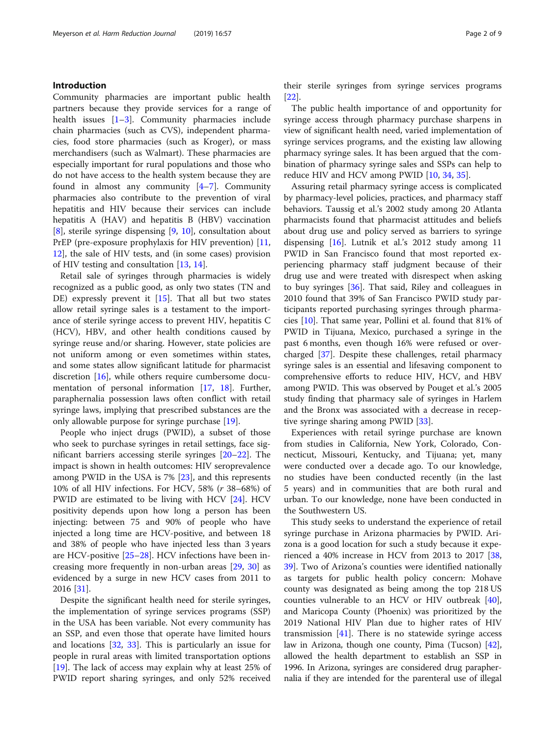# Introduction

Community pharmacies are important public health partners because they provide services for a range of health issues [[1](#page-7-0)–[3\]](#page-7-0). Community pharmacies include chain pharmacies (such as CVS), independent pharmacies, food store pharmacies (such as Kroger), or mass merchandisers (such as Walmart). These pharmacies are especially important for rural populations and those who do not have access to the health system because they are found in almost any community [[4](#page-7-0)–[7](#page-7-0)]. Community pharmacies also contribute to the prevention of viral hepatitis and HIV because their services can include hepatitis A (HAV) and hepatitis B (HBV) vaccination [[8\]](#page-7-0), sterile syringe dispensing [\[9](#page-7-0), [10\]](#page-7-0), consultation about PrEP (pre-exposure prophylaxis for HIV prevention) [[11](#page-7-0), [12\]](#page-7-0), the sale of HIV tests, and (in some cases) provision of HIV testing and consultation [[13,](#page-7-0) [14](#page-7-0)].

Retail sale of syringes through pharmacies is widely recognized as a public good, as only two states (TN and DE) expressly prevent it  $[15]$  $[15]$  $[15]$ . That all but two states allow retail syringe sales is a testament to the importance of sterile syringe access to prevent HIV, hepatitis C (HCV), HBV, and other health conditions caused by syringe reuse and/or sharing. However, state policies are not uniform among or even sometimes within states, and some states allow significant latitude for pharmacist discretion [[16\]](#page-7-0), while others require cumbersome documentation of personal information [[17,](#page-7-0) [18](#page-7-0)]. Further, paraphernalia possession laws often conflict with retail syringe laws, implying that prescribed substances are the only allowable purpose for syringe purchase [[19\]](#page-7-0).

People who inject drugs (PWID), a subset of those who seek to purchase syringes in retail settings, face significant barriers accessing sterile syringes [[20](#page-7-0)–[22\]](#page-7-0). The impact is shown in health outcomes: HIV seroprevalence among PWID in the USA is 7% [\[23\]](#page-7-0), and this represents 10% of all HIV infections. For HCV, 58% (r 38–68%) of PWID are estimated to be living with HCV [\[24](#page-7-0)]. HCV positivity depends upon how long a person has been injecting: between 75 and 90% of people who have injected a long time are HCV-positive, and between 18 and 38% of people who have injected less than 3 years are HCV-positive [\[25](#page-7-0)–[28\]](#page-7-0). HCV infections have been increasing more frequently in non-urban areas [\[29,](#page-7-0) [30\]](#page-7-0) as evidenced by a surge in new HCV cases from 2011 to 2016 [\[31](#page-7-0)].

Despite the significant health need for sterile syringes, the implementation of syringe services programs (SSP) in the USA has been variable. Not every community has an SSP, and even those that operate have limited hours and locations [\[32](#page-7-0), [33](#page-7-0)]. This is particularly an issue for people in rural areas with limited transportation options [[19\]](#page-7-0). The lack of access may explain why at least 25% of PWID report sharing syringes, and only 52% received their sterile syringes from syringe services programs [[22\]](#page-7-0).

The public health importance of and opportunity for syringe access through pharmacy purchase sharpens in view of significant health need, varied implementation of syringe services programs, and the existing law allowing pharmacy syringe sales. It has been argued that the combination of pharmacy syringe sales and SSPs can help to reduce HIV and HCV among PWID [\[10](#page-7-0), [34,](#page-7-0) [35\]](#page-7-0).

Assuring retail pharmacy syringe access is complicated by pharmacy-level policies, practices, and pharmacy staff behaviors. Taussig et al.'s 2002 study among 20 Atlanta pharmacists found that pharmacist attitudes and beliefs about drug use and policy served as barriers to syringe dispensing [\[16](#page-7-0)]. Lutnik et al.'s 2012 study among 11 PWID in San Francisco found that most reported experiencing pharmacy staff judgment because of their drug use and were treated with disrespect when asking to buy syringes [\[36](#page-7-0)]. That said, Riley and colleagues in 2010 found that 39% of San Francisco PWID study participants reported purchasing syringes through pharmacies [\[10\]](#page-7-0). That same year, Pollini et al. found that 81% of PWID in Tijuana, Mexico, purchased a syringe in the past 6 months, even though 16% were refused or overcharged [\[37](#page-7-0)]. Despite these challenges, retail pharmacy syringe sales is an essential and lifesaving component to comprehensive efforts to reduce HIV, HCV, and HBV among PWID. This was observed by Pouget et al.'s 2005 study finding that pharmacy sale of syringes in Harlem and the Bronx was associated with a decrease in receptive syringe sharing among PWID [[33](#page-7-0)].

Experiences with retail syringe purchase are known from studies in California, New York, Colorado, Connecticut, Missouri, Kentucky, and Tijuana; yet, many were conducted over a decade ago. To our knowledge, no studies have been conducted recently (in the last 5 years) and in communities that are both rural and urban. To our knowledge, none have been conducted in the Southwestern US.

This study seeks to understand the experience of retail syringe purchase in Arizona pharmacies by PWID. Arizona is a good location for such a study because it experienced a 40% increase in HCV from 2013 to 2017 [[38](#page-7-0), [39\]](#page-7-0). Two of Arizona's counties were identified nationally as targets for public health policy concern: Mohave county was designated as being among the top 218 US counties vulnerable to an HCV or HIV outbreak [\[40](#page-8-0)], and Maricopa County (Phoenix) was prioritized by the 2019 National HIV Plan due to higher rates of HIV transmission  $[41]$ . There is no statewide syringe access law in Arizona, though one county, Pima (Tucson) [[42](#page-8-0)], allowed the health department to establish an SSP in 1996. In Arizona, syringes are considered drug paraphernalia if they are intended for the parenteral use of illegal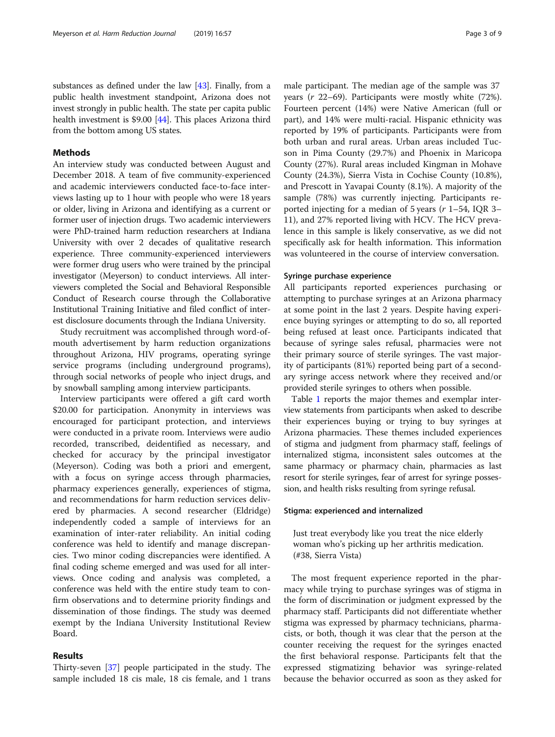substances as defined under the law [\[43\]](#page-8-0). Finally, from a public health investment standpoint, Arizona does not invest strongly in public health. The state per capita public health investment is \$9.00 [\[44\]](#page-8-0). This places Arizona third from the bottom among US states.

# Methods

An interview study was conducted between August and December 2018. A team of five community-experienced and academic interviewers conducted face-to-face interviews lasting up to 1 hour with people who were 18 years or older, living in Arizona and identifying as a current or former user of injection drugs. Two academic interviewers were PhD-trained harm reduction researchers at Indiana University with over 2 decades of qualitative research experience. Three community-experienced interviewers were former drug users who were trained by the principal investigator (Meyerson) to conduct interviews. All interviewers completed the Social and Behavioral Responsible Conduct of Research course through the Collaborative Institutional Training Initiative and filed conflict of interest disclosure documents through the Indiana University.

Study recruitment was accomplished through word-ofmouth advertisement by harm reduction organizations throughout Arizona, HIV programs, operating syringe service programs (including underground programs), through social networks of people who inject drugs, and by snowball sampling among interview participants.

Interview participants were offered a gift card worth \$20.00 for participation. Anonymity in interviews was encouraged for participant protection, and interviews were conducted in a private room. Interviews were audio recorded, transcribed, deidentified as necessary, and checked for accuracy by the principal investigator (Meyerson). Coding was both a priori and emergent, with a focus on syringe access through pharmacies, pharmacy experiences generally, experiences of stigma, and recommendations for harm reduction services delivered by pharmacies. A second researcher (Eldridge) independently coded a sample of interviews for an examination of inter-rater reliability. An initial coding conference was held to identify and manage discrepancies. Two minor coding discrepancies were identified. A final coding scheme emerged and was used for all interviews. Once coding and analysis was completed, a conference was held with the entire study team to confirm observations and to determine priority findings and dissemination of those findings. The study was deemed exempt by the Indiana University Institutional Review Board.

# Results

Thirty-seven [[37\]](#page-7-0) people participated in the study. The sample included 18 cis male, 18 cis female, and 1 trans male participant. The median age of the sample was 37 years (r 22–69). Participants were mostly white (72%). Fourteen percent (14%) were Native American (full or part), and 14% were multi-racial. Hispanic ethnicity was reported by 19% of participants. Participants were from both urban and rural areas. Urban areas included Tucson in Pima County (29.7%) and Phoenix in Maricopa County (27%). Rural areas included Kingman in Mohave County (24.3%), Sierra Vista in Cochise County (10.8%), and Prescott in Yavapai County (8.1%). A majority of the sample (78%) was currently injecting. Participants reported injecting for a median of 5 years (r 1–54, IQR 3– 11), and 27% reported living with HCV. The HCV prevalence in this sample is likely conservative, as we did not specifically ask for health information. This information was volunteered in the course of interview conversation.

#### Syringe purchase experience

All participants reported experiences purchasing or attempting to purchase syringes at an Arizona pharmacy at some point in the last 2 years. Despite having experience buying syringes or attempting to do so, all reported being refused at least once. Participants indicated that because of syringe sales refusal, pharmacies were not their primary source of sterile syringes. The vast majority of participants (81%) reported being part of a secondary syringe access network where they received and/or provided sterile syringes to others when possible.

Table [1](#page-3-0) reports the major themes and exemplar interview statements from participants when asked to describe their experiences buying or trying to buy syringes at Arizona pharmacies. These themes included experiences of stigma and judgment from pharmacy staff, feelings of internalized stigma, inconsistent sales outcomes at the same pharmacy or pharmacy chain, pharmacies as last resort for sterile syringes, fear of arrest for syringe possession, and health risks resulting from syringe refusal.

#### Stigma: experienced and internalized

Just treat everybody like you treat the nice elderly woman who's picking up her arthritis medication. (#38, Sierra Vista)

The most frequent experience reported in the pharmacy while trying to purchase syringes was of stigma in the form of discrimination or judgment expressed by the pharmacy staff. Participants did not differentiate whether stigma was expressed by pharmacy technicians, pharmacists, or both, though it was clear that the person at the counter receiving the request for the syringes enacted the first behavioral response. Participants felt that the expressed stigmatizing behavior was syringe-related because the behavior occurred as soon as they asked for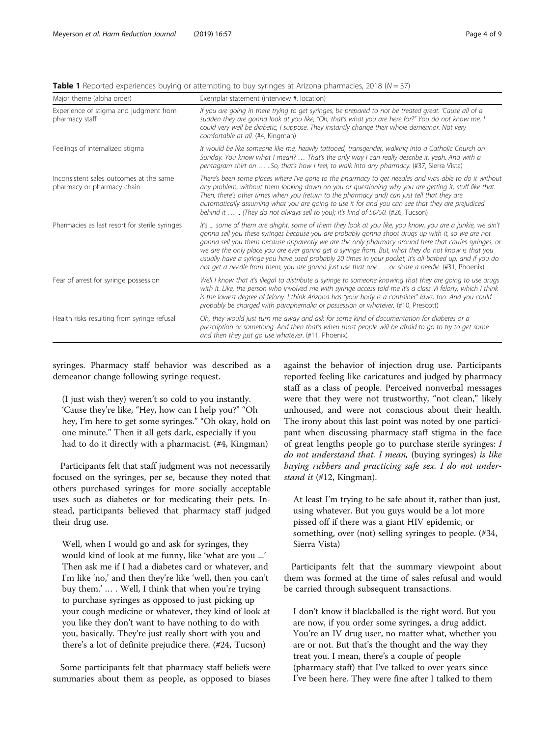<span id="page-3-0"></span>

| <b>Table 1</b> Reported experiences buying or attempting to buy syringes at Arizona pharmacies, 2018 ( $N = 37$ ) |  |  |  |  |  |  |  |  |  |  |
|-------------------------------------------------------------------------------------------------------------------|--|--|--|--|--|--|--|--|--|--|
|-------------------------------------------------------------------------------------------------------------------|--|--|--|--|--|--|--|--|--|--|

| Major theme (alpha order)                                             | Exemplar statement (interview #, location)                                                                                                                                                                                                                                                                                                                                                                                                                                                                                                                                                                                                  |
|-----------------------------------------------------------------------|---------------------------------------------------------------------------------------------------------------------------------------------------------------------------------------------------------------------------------------------------------------------------------------------------------------------------------------------------------------------------------------------------------------------------------------------------------------------------------------------------------------------------------------------------------------------------------------------------------------------------------------------|
| Experience of stigma and judgment from<br>pharmacy staff              | If you are going in there trying to get syringes, be prepared to not be treated great. 'Cause all of a<br>sudden they are gonna look at you like, "Oh, that's what you are here for?" You do not know me, I<br>could very well be diabetic, I suppose. They instantly change their whole demeanor. Not very<br>comfortable at all. (#4, Kingman)                                                                                                                                                                                                                                                                                            |
| Feelings of internalized stigma                                       | It would be like someone like me, heavily tattooed, transgender, walking into a Catholic Church on<br>Sunday. You know what I mean?  That's the only way I can really describe it, yeah. And with a<br>pentagram shirt on  So, that's how I feel, to walk into any pharmacy. (#37, Sierra Vista)                                                                                                                                                                                                                                                                                                                                            |
| Inconsistent sales outcomes at the same<br>pharmacy or pharmacy chain | There's been some places where I've gone to the pharmacy to get needles and was able to do it without<br>any problem, without them looking down on you or questioning why you are getting it, stuff like that.<br>Then, there's other times when you (return to the pharmacy and) can just tell that they are<br>automatically assuming what you are going to use it for and you can see that they are prejudiced<br>behind it   (They do not always sell to you); it's kind of 50/50. (#26, Tucson)                                                                                                                                        |
| Pharmacies as last resort for sterile syringes                        | It's  some of them are alright, some of them they look at you like, you know, you are a junkie, we ain't<br>gonna sell you these syringes because you are probably gonna shoot drugs up with it, so we are not<br>gonna sell you them because apparently we are the only pharmacy around here that carries syringes, or<br>we are the only place you are ever gonna get a syringe from. But, what they do not know is that you<br>usually have a syringe you have used probably 20 times in your pocket, it's all barbed up, and if you do<br>not get a needle from them, you are gonna just use that one or share a needle. (#31, Phoenix) |
| Fear of arrest for syringe possession                                 | Well I know that it's illegal to distribute a syringe to someone knowing that they are going to use drugs<br>with it. Like, the person who involved me with syringe access told me it's a class VI felony, which I think<br>is the lowest degree of felony. I think Arizona has "your body is a container" laws, too. And you could<br>probably be charged with paraphernalia or possession or whatever. (#10, Prescott)                                                                                                                                                                                                                    |
| Health risks resulting from syringe refusal                           | Oh, they would just turn me away and ask for some kind of documentation for diabetes or a<br>prescription or something. And then that's when most people will be afraid to go to try to get some<br>and then they just go use whatever. (#11, Phoenix)                                                                                                                                                                                                                                                                                                                                                                                      |

syringes. Pharmacy staff behavior was described as a demeanor change following syringe request.

(I just wish they) weren't so cold to you instantly. 'Cause they're like, "Hey, how can I help you?" "Oh hey, I'm here to get some syringes." "Oh okay, hold on one minute." Then it all gets dark, especially if you had to do it directly with a pharmacist. (#4, Kingman)

Participants felt that staff judgment was not necessarily focused on the syringes, per se, because they noted that others purchased syringes for more socially acceptable uses such as diabetes or for medicating their pets. Instead, participants believed that pharmacy staff judged their drug use.

Well, when I would go and ask for syringes, they would kind of look at me funny, like 'what are you ...' Then ask me if I had a diabetes card or whatever, and I'm like 'no,' and then they're like 'well, then you can't buy them.' ... . Well, I think that when you're trying to purchase syringes as opposed to just picking up your cough medicine or whatever, they kind of look at you like they don't want to have nothing to do with you, basically. They're just really short with you and there's a lot of definite prejudice there. (#24, Tucson)

Some participants felt that pharmacy staff beliefs were summaries about them as people, as opposed to biases

against the behavior of injection drug use. Participants reported feeling like caricatures and judged by pharmacy staff as a class of people. Perceived nonverbal messages were that they were not trustworthy, "not clean," likely unhoused, and were not conscious about their health. The irony about this last point was noted by one participant when discussing pharmacy staff stigma in the face of great lengths people go to purchase sterile syringes: I do not understand that. I mean, (buying syringes) is like buying rubbers and practicing safe sex. I do not understand it (#12, Kingman).

At least I'm trying to be safe about it, rather than just, using whatever. But you guys would be a lot more pissed off if there was a giant HIV epidemic, or something, over (not) selling syringes to people. (#34, Sierra Vista)

Participants felt that the summary viewpoint about them was formed at the time of sales refusal and would be carried through subsequent transactions.

I don't know if blackballed is the right word. But you are now, if you order some syringes, a drug addict. You're an IV drug user, no matter what, whether you are or not. But that's the thought and the way they treat you. I mean, there's a couple of people (pharmacy staff) that I've talked to over years since I've been here. They were fine after I talked to them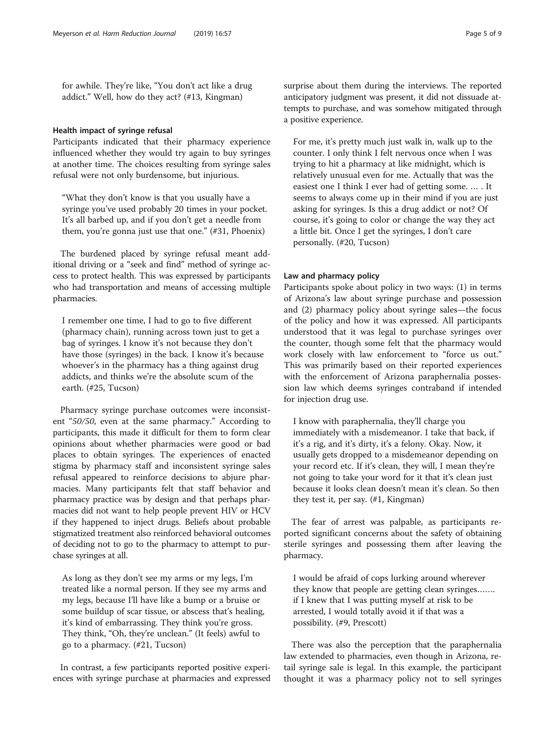for awhile. They're like, "You don't act like a drug addict." Well, how do they act? (#13, Kingman)

# Health impact of syringe refusal

Participants indicated that their pharmacy experience influenced whether they would try again to buy syringes at another time. The choices resulting from syringe sales refusal were not only burdensome, but injurious.

"What they don't know is that you usually have a syringe you've used probably 20 times in your pocket. It's all barbed up, and if you don't get a needle from them, you're gonna just use that one." (#31, Phoenix)

The burdened placed by syringe refusal meant additional driving or a "seek and find" method of syringe access to protect health. This was expressed by participants who had transportation and means of accessing multiple pharmacies.

I remember one time, I had to go to five different (pharmacy chain), running across town just to get a bag of syringes. I know it's not because they don't have those (syringes) in the back. I know it's because whoever's in the pharmacy has a thing against drug addicts, and thinks we're the absolute scum of the earth. (#25, Tucson)

Pharmacy syringe purchase outcomes were inconsistent "50/50, even at the same pharmacy." According to participants, this made it difficult for them to form clear opinions about whether pharmacies were good or bad places to obtain syringes. The experiences of enacted stigma by pharmacy staff and inconsistent syringe sales refusal appeared to reinforce decisions to abjure pharmacies. Many participants felt that staff behavior and pharmacy practice was by design and that perhaps pharmacies did not want to help people prevent HIV or HCV if they happened to inject drugs. Beliefs about probable stigmatized treatment also reinforced behavioral outcomes of deciding not to go to the pharmacy to attempt to purchase syringes at all.

As long as they don't see my arms or my legs, I'm treated like a normal person. If they see my arms and my legs, because I'll have like a bump or a bruise or some buildup of scar tissue, or abscess that's healing, it's kind of embarrassing. They think you're gross. They think, "Oh, they're unclean." (It feels) awful to go to a pharmacy. (#21, Tucson)

In contrast, a few participants reported positive experiences with syringe purchase at pharmacies and expressed surprise about them during the interviews. The reported anticipatory judgment was present, it did not dissuade attempts to purchase, and was somehow mitigated through a positive experience.

For me, it's pretty much just walk in, walk up to the counter. I only think I felt nervous once when I was trying to hit a pharmacy at like midnight, which is relatively unusual even for me. Actually that was the easiest one I think I ever had of getting some. … . It seems to always come up in their mind if you are just asking for syringes. Is this a drug addict or not? Of course, it's going to color or change the way they act a little bit. Once I get the syringes, I don't care personally. (#20, Tucson)

#### Law and pharmacy policy

Participants spoke about policy in two ways: (1) in terms of Arizona's law about syringe purchase and possession and (2) pharmacy policy about syringe sales—the focus of the policy and how it was expressed. All participants understood that it was legal to purchase syringes over the counter, though some felt that the pharmacy would work closely with law enforcement to "force us out." This was primarily based on their reported experiences with the enforcement of Arizona paraphernalia possession law which deems syringes contraband if intended for injection drug use.

I know with paraphernalia, they'll charge you immediately with a misdemeanor. I take that back, if it's a rig, and it's dirty, it's a felony. Okay. Now, it usually gets dropped to a misdemeanor depending on your record etc. If it's clean, they will, I mean they're not going to take your word for it that it's clean just because it looks clean doesn't mean it's clean. So then they test it, per say. (#1, Kingman)

The fear of arrest was palpable, as participants reported significant concerns about the safety of obtaining sterile syringes and possessing them after leaving the pharmacy.

I would be afraid of cops lurking around wherever they know that people are getting clean syringes……. if I knew that I was putting myself at risk to be arrested, I would totally avoid it if that was a possibility. (#9, Prescott)

There was also the perception that the paraphernalia law extended to pharmacies, even though in Arizona, retail syringe sale is legal. In this example, the participant thought it was a pharmacy policy not to sell syringes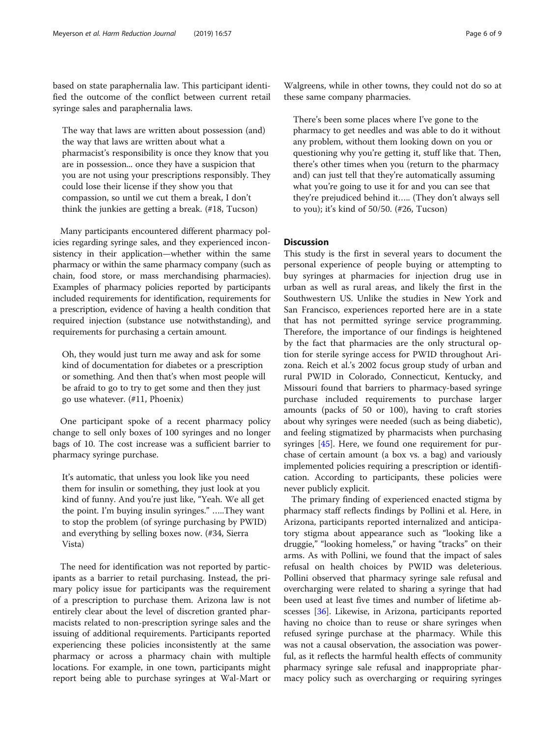based on state paraphernalia law. This participant identified the outcome of the conflict between current retail syringe sales and paraphernalia laws.

The way that laws are written about possession (and) the way that laws are written about what a pharmacist's responsibility is once they know that you are in possession... once they have a suspicion that you are not using your prescriptions responsibly. They could lose their license if they show you that compassion, so until we cut them a break, I don't think the junkies are getting a break. (#18, Tucson)

Many participants encountered different pharmacy policies regarding syringe sales, and they experienced inconsistency in their application—whether within the same pharmacy or within the same pharmacy company (such as chain, food store, or mass merchandising pharmacies). Examples of pharmacy policies reported by participants included requirements for identification, requirements for a prescription, evidence of having a health condition that required injection (substance use notwithstanding), and requirements for purchasing a certain amount.

Oh, they would just turn me away and ask for some kind of documentation for diabetes or a prescription or something. And then that's when most people will be afraid to go to try to get some and then they just go use whatever. (#11, Phoenix)

One participant spoke of a recent pharmacy policy change to sell only boxes of 100 syringes and no longer bags of 10. The cost increase was a sufficient barrier to pharmacy syringe purchase.

It's automatic, that unless you look like you need them for insulin or something, they just look at you kind of funny. And you're just like, "Yeah. We all get the point. I'm buying insulin syringes." …..They want to stop the problem (of syringe purchasing by PWID) and everything by selling boxes now. (#34, Sierra Vista)

The need for identification was not reported by participants as a barrier to retail purchasing. Instead, the primary policy issue for participants was the requirement of a prescription to purchase them. Arizona law is not entirely clear about the level of discretion granted pharmacists related to non-prescription syringe sales and the issuing of additional requirements. Participants reported experiencing these policies inconsistently at the same pharmacy or across a pharmacy chain with multiple locations. For example, in one town, participants might report being able to purchase syringes at Wal-Mart or Walgreens, while in other towns, they could not do so at these same company pharmacies.

There's been some places where I've gone to the pharmacy to get needles and was able to do it without any problem, without them looking down on you or questioning why you're getting it, stuff like that. Then, there's other times when you (return to the pharmacy and) can just tell that they're automatically assuming what you're going to use it for and you can see that they're prejudiced behind it….. (They don't always sell to you); it's kind of 50/50. (#26, Tucson)

# **Discussion**

This study is the first in several years to document the personal experience of people buying or attempting to buy syringes at pharmacies for injection drug use in urban as well as rural areas, and likely the first in the Southwestern US. Unlike the studies in New York and San Francisco, experiences reported here are in a state that has not permitted syringe service programming. Therefore, the importance of our findings is heightened by the fact that pharmacies are the only structural option for sterile syringe access for PWID throughout Arizona. Reich et al.'s 2002 focus group study of urban and rural PWID in Colorado, Connecticut, Kentucky, and Missouri found that barriers to pharmacy-based syringe purchase included requirements to purchase larger amounts (packs of 50 or 100), having to craft stories about why syringes were needed (such as being diabetic), and feeling stigmatized by pharmacists when purchasing syringes [\[45](#page-8-0)]. Here, we found one requirement for purchase of certain amount (a box vs. a bag) and variously implemented policies requiring a prescription or identification. According to participants, these policies were never publicly explicit.

The primary finding of experienced enacted stigma by pharmacy staff reflects findings by Pollini et al. Here, in Arizona, participants reported internalized and anticipatory stigma about appearance such as "looking like a druggie," "looking homeless," or having "tracks" on their arms. As with Pollini, we found that the impact of sales refusal on health choices by PWID was deleterious. Pollini observed that pharmacy syringe sale refusal and overcharging were related to sharing a syringe that had been used at least five times and number of lifetime abscesses [\[36](#page-7-0)]. Likewise, in Arizona, participants reported having no choice than to reuse or share syringes when refused syringe purchase at the pharmacy. While this was not a causal observation, the association was powerful, as it reflects the harmful health effects of community pharmacy syringe sale refusal and inappropriate pharmacy policy such as overcharging or requiring syringes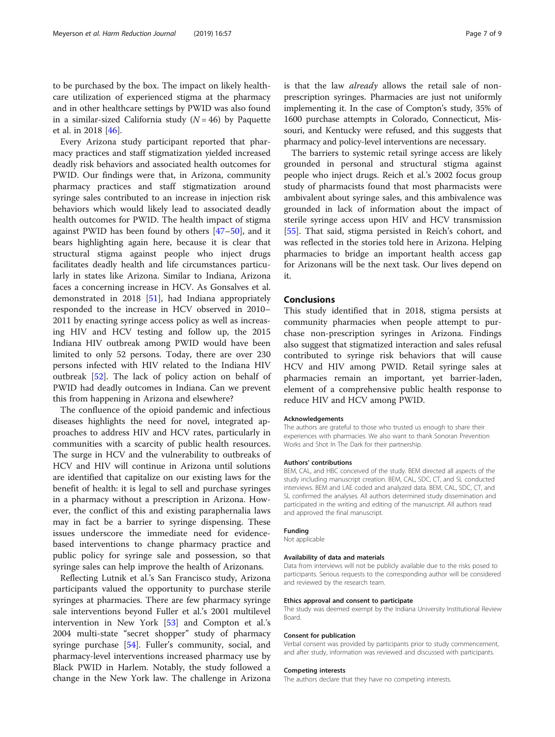to be purchased by the box. The impact on likely healthcare utilization of experienced stigma at the pharmacy and in other healthcare settings by PWID was also found in a similar-sized California study  $(N = 46)$  by Paquette et al. in 2018 [[46\]](#page-8-0).

Every Arizona study participant reported that pharmacy practices and staff stigmatization yielded increased deadly risk behaviors and associated health outcomes for PWID. Our findings were that, in Arizona, community pharmacy practices and staff stigmatization around syringe sales contributed to an increase in injection risk behaviors which would likely lead to associated deadly health outcomes for PWID. The health impact of stigma against PWID has been found by others [[47](#page-8-0)–[50](#page-8-0)], and it bears highlighting again here, because it is clear that structural stigma against people who inject drugs facilitates deadly health and life circumstances particularly in states like Arizona. Similar to Indiana, Arizona faces a concerning increase in HCV. As Gonsalves et al. demonstrated in 2018 [[51\]](#page-8-0), had Indiana appropriately responded to the increase in HCV observed in 2010– 2011 by enacting syringe access policy as well as increasing HIV and HCV testing and follow up, the 2015 Indiana HIV outbreak among PWID would have been limited to only 52 persons. Today, there are over 230 persons infected with HIV related to the Indiana HIV outbreak [\[52\]](#page-8-0). The lack of policy action on behalf of PWID had deadly outcomes in Indiana. Can we prevent this from happening in Arizona and elsewhere?

The confluence of the opioid pandemic and infectious diseases highlights the need for novel, integrated approaches to address HIV and HCV rates, particularly in communities with a scarcity of public health resources. The surge in HCV and the vulnerability to outbreaks of HCV and HIV will continue in Arizona until solutions are identified that capitalize on our existing laws for the benefit of health: it is legal to sell and purchase syringes in a pharmacy without a prescription in Arizona. However, the conflict of this and existing paraphernalia laws may in fact be a barrier to syringe dispensing. These issues underscore the immediate need for evidencebased interventions to change pharmacy practice and public policy for syringe sale and possession, so that syringe sales can help improve the health of Arizonans.

Reflecting Lutnik et al.'s San Francisco study, Arizona participants valued the opportunity to purchase sterile syringes at pharmacies. There are few pharmacy syringe sale interventions beyond Fuller et al.'s 2001 multilevel intervention in New York [[53\]](#page-8-0) and Compton et al.'s 2004 multi-state "secret shopper" study of pharmacy syringe purchase [[54\]](#page-8-0). Fuller's community, social, and pharmacy-level interventions increased pharmacy use by Black PWID in Harlem. Notably, the study followed a change in the New York law. The challenge in Arizona is that the law *already* allows the retail sale of nonprescription syringes. Pharmacies are just not uniformly implementing it. In the case of Compton's study, 35% of 1600 purchase attempts in Colorado, Connecticut, Missouri, and Kentucky were refused, and this suggests that pharmacy and policy-level interventions are necessary.

The barriers to systemic retail syringe access are likely grounded in personal and structural stigma against people who inject drugs. Reich et al.'s 2002 focus group study of pharmacists found that most pharmacists were ambivalent about syringe sales, and this ambivalence was grounded in lack of information about the impact of sterile syringe access upon HIV and HCV transmission [[55\]](#page-8-0). That said, stigma persisted in Reich's cohort, and was reflected in the stories told here in Arizona. Helping pharmacies to bridge an important health access gap for Arizonans will be the next task. Our lives depend on it.

# Conclusions

This study identified that in 2018, stigma persists at community pharmacies when people attempt to purchase non-prescription syringes in Arizona. Findings also suggest that stigmatized interaction and sales refusal contributed to syringe risk behaviors that will cause HCV and HIV among PWID. Retail syringe sales at pharmacies remain an important, yet barrier-laden, element of a comprehensive public health response to reduce HIV and HCV among PWID.

#### Acknowledgements

The authors are grateful to those who trusted us enough to share their experiences with pharmacies. We also want to thank Sonoran Prevention Works and Shot In The Dark for their partnership.

#### Authors' contributions

BEM, CAL, and HBC conceived of the study. BEM directed all aspects of the study including manuscript creation. BEM, CAL, SDC, CT, and SL conducted interviews. BEM and LAE coded and analyzed data. BEM, CAL, SDC, CT, and SL confirmed the analyses. All authors determined study dissemination and participated in the writing and editing of the manuscript. All authors read and approved the final manuscript.

# Funding

Not applicable

# Availability of data and materials

Data from interviews will not be publicly available due to the risks posed to participants. Serious requests to the corresponding author will be considered and reviewed by the research team.

#### Ethics approval and consent to participate

The study was deemed exempt by the Indiana University Institutional Review Board.

#### Consent for publication

Verbal consent was provided by participants prior to study commencement, and after study, information was reviewed and discussed with participants.

#### Competing interests

The authors declare that they have no competing interests.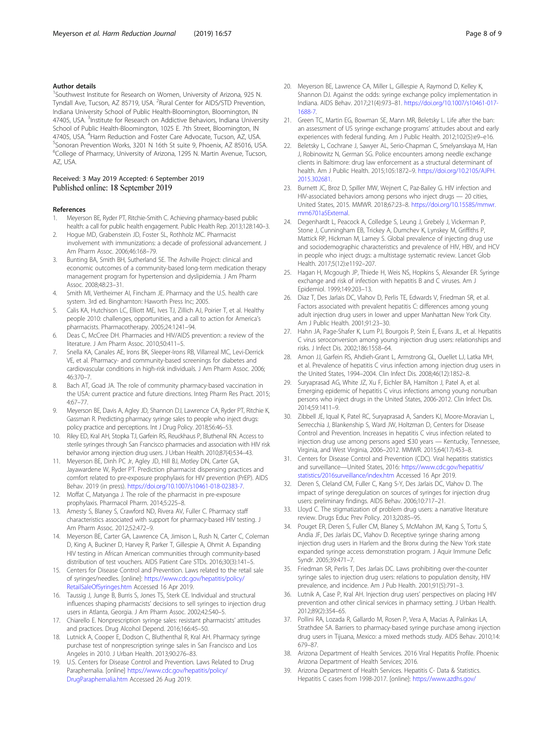# <span id="page-7-0"></span>Author details

<sup>1</sup>Southwest Institute for Research on Women, University of Arizona, 925 N. Tyndall Ave, Tucson, AZ 85719, USA. <sup>2</sup>Rural Center for AIDS/STD Prevention, Indiana University School of Public Health-Bloomington, Bloomington, IN 47405, USA. <sup>3</sup>Institute for Research on Addictive Behaviors, Indiana University School of Public Health-Bloomington, 1025 E. 7th Street, Bloomington, IN 47405, USA. <sup>4</sup>Harm Reduction and Foster Care Advocate, Tucson, AZ, USA.<br><sup>5</sup>Sonoran Prevention Works 3201 N 16th St suite 9 Phoenix AZ 85016 US <sup>5</sup> Sonoran Prevention Works, 3201 N 16th St suite 9, Phoenix, AZ 85016, USA. <sup>6</sup>College of Pharmacy, University of Arizona, 1295 N. Martin Avenue, Tucson, AZ, USA.

#### Received: 3 May 2019 Accepted: 6 September 2019 Published online: 18 September 2019

### References

- 1. Meyerson BE, Ryder PT, Ritchie-Smith C. Achieving pharmacy-based public health: a call for public health engagement. Public Health Rep. 2013;128:140–3.
- Hogue MD, Grabenstein JD, Foster SL, Rothholz MC. Pharmacist involvement with immunizations: a decade of professional advancement. J Am Pharm Assoc. 2006;46:168–79.
- 3. Bunting BA, Smith BH, Sutherland SE. The Ashville Project: clinical and economic outcomes of a community-based long-term medication therapy management program for hypertension and dyslipidemia. J Am Pharm Assoc. 2008;48:23–31.
- 4. Smith MI, Vertheimer AI, Fincham JE. Pharmacy and the U.S. health care system. 3rd ed. Binghamton: Haworth Press Inc; 2005.
- 5. Calis KA, Hutchison LC, Elliott ME, Ives TJ, Zillich AJ, Poirier T, et al. Healthy people 2010: challenges, opportunities, and a call to action for America's pharmacists. Pharmacotherapy. 2005;24:1241–94.
- 6. Deas C, McCree DH. Pharmacies and HIV/AIDS prevention: a review of the literature. J Am Pharm Assoc. 2010;50:411–5.
- 7. Snella KA, Canales AE, Irons BK, Sleeper-Irons RB, Villarreal MC, Levi-Derrick VE, et al. Pharmacy- and community-based screenings for diabetes and cardiovascular conditions in high-risk individuals. J Am Pharm Assoc. 2006; 46:370–7.
- Bach AT, Goad JA. The role of community pharmacy-based vaccination in the USA: current practice and future directions. Integ Pharm Res Pract. 2015; 4:67–77.
- Meyerson BE, Davis A, Agley JD, Shannon DJ, Lawrence CA, Ryder PT, Ritchie K, Gassman R. Predicting pharmacy syringe sales to people who inject drugs: policy practice and perceptions. Int J Drug Policy. 2018;56:46–53.
- 10. Riley ED, Kral AH, Stopka TJ, Garfein RS, Reuckhaus P, Bluthenal RN. Access to sterile syringes through San Francisco pharmacies and association with HIV risk behavior among injection drug users. J Urban Health. 2010;87(4):534–43.
- 11. Meyerson BE, Dinh PC Jr, Agley JD, Hill BJ, Motley DN, Carter GA, Jayawardene W, Ryder PT. Prediction pharmacist dispensing practices and comfort related to pre-exposure prophylaxis for HIV prevention (PrEP). AIDS Behav. 2019 (in press). [https://doi.org/10.1007/s10461-018-02383-7.](https://doi.org/10.1007/s10461-018-02383-7)
- 12. Moffat C, Matyanga J. The role of the pharmacist in pre-exposure prophylaxis. Pharmacol Pharm. 2014;5:225–8.
- 13. Amesty S, Blaney S, Crawford ND, Rivera AV, Fuller C. Pharmacy staff characteristics associated with support for pharmacy-based HIV testing. J Am Pharm Assoc. 2012;52:472–9.
- 14. Meyerson BE, Carter GA, Lawrence CA, Jimison L, Rush N, Carter C, Coleman D, King A, Buckner D, Harvey R, Parker T, Gillespie A, Ohmit A. Expanding HIV testing in African American communities through community-based distribution of test vouchers. AIDS Patient Care STDs. 2016;30(3):141–5.
- 15. Centers for Disease Control and Prevention. Laws related to the retail sale of syringes/needles. [online]: [https://www.cdc.gov/hepatitis/policy/](https://www.cdc.gov/hepatitis/policy/RetailSaleOfSyringes.htm) [RetailSaleOfSyringes.htm](https://www.cdc.gov/hepatitis/policy/RetailSaleOfSyringes.htm) Accessed 16 Apr 2019.
- 16. Taussig J, Junge B, Burris S, Jones TS, Sterk CE. Individual and structural influences shaping pharmacists' decisions to sell syringes to injection drug users in Atlanta, Georgia. J Am Pharm Assoc. 2002;42:S40–5.
- 17. Chiarello E. Nonprescription syringe sales: resistant pharmacists' attitudes and practices. Drug Alcohol Depend. 2016;166:45–50.
- 18. Lutnick A, Cooper E, Dodson C, Bluthenthal R, Kral AH. Pharmacy syringe purchase test of nonprescription syringe sales in San Francisco and Los Angeles in 2010. J Urban Health. 2013;90:276–83.
- 19. U.S. Centers for Disease Control and Prevention. Laws Related to Drug Paraphernalia. [online] [https://www.cdc.gov/hepatitis/policy/](https://www.cdc.gov/hepatitis/policy/DrugParaphernalia.htm) [DrugParaphernalia.htm](https://www.cdc.gov/hepatitis/policy/DrugParaphernalia.htm) Accessed 26 Aug 2019.
- 20. Meyerson BE, Lawrence CA, Miller L, Gillespie A, Raymond D, Kelley K, Shannon DJ. Against the odds: syringe exchange policy implementation in Indiana. AIDS Behav. 2017;21(4):973–81. [https://doi.org/10.1007/s10461-017-](https://doi.org/10.1007/s10461-017-1688-7) [1688-7.](https://doi.org/10.1007/s10461-017-1688-7)
- 21. Green TC, Martin EG, Bowman SE, Mann MR, Beletsky L. Life after the ban: an assessment of US syringe exchange programs' attitudes about and early experiences with federal funding. Am J Public Health. 2012;102(5):e9–e16.
- Beletsky L, Cochrane J, Sawyer AL, Serio-Chapman C, Smelyanskaya M, Han J, Robinowitz N, German SG. Police encounters among needle exchange clients in Baltimore: drug law enforcement as a structural determinant of health. Am J Public Health. 2015;105:1872–9. [https://doi.org/10.2105/AJPH.](https://doi.org/10.2105/AJPH.2015.302681) [2015.302681](https://doi.org/10.2105/AJPH.2015.302681).
- 23. Burnett JC, Broz D, Spiller MW, Wejnert C, Paz-Bailey G. HIV infection and HIV-associated behaviors among persons who inject drugs — 20 cities, United States, 2015. MMWR. 2018;67:23–8. [https://doi.org/10.15585/mmwr.](https://doi.org/10.15585/mmwr.mm6701a5External) [mm6701a5External.](https://doi.org/10.15585/mmwr.mm6701a5External)
- 24. Degenhardt L, Peacock A, Colledge S, Leung J, Grebely J, Vickerman P, Stone J, Cunningham EB, Trickey A, Dumchev K, Lynskey M, Griffiths P, Mattick RP, Hickman M, Larney S. Global prevalence of injecting drug use and sociodemographic characteristics and prevalence of HIV, HBV, and HCV in people who inject drugs: a multistage systematic review. Lancet Glob Health. 2017;5(12):e1192–207.
- 25. Hagan H, Mcgough JP, Thiede H, Weis NS, Hopkins S, Alexander ER. Syringe exchange and risk of infection with hepatitis B and C viruses. Am J Epidemiol. 1999;149:203–13.
- 26. Diaz T, Des Jarlais DC, Vlahov D, Perlis TE, Edwards V, Friedman SR, et al. Factors associated with prevalent hepatitis C: differences among young adult injection drug users in lower and upper Manhattan New York City. Am J Public Health. 2001;91:23–30.
- 27. Hahn JA, Page-Shafer K, Lum PJ, Bourgois P, Stein E, Evans JL, et al. Hepatitis C virus seroconversion among young injection drug users: relationships and risks. J Infect Dis. 2002;186:1558–64.
- 28. Amon JJ, Garfein RS, Ahdieh-Grant L, Armstrong GL, Ouellet LJ, Latka MH, et al. Prevalence of hepatitis C virus infection among injection drug users in the United States, 1994–2004. Clin Infect Dis. 2008;46(12):1852–8.
- Suryaprasad AG, White JZ, Xu F, Eichler BA, Hamilton J, Patel A, et al. Emerging epidemic of hepatitis C virus infections among young nonurban persons who inject drugs in the United States, 2006-2012. Clin Infect Dis. 2014;59:1411–9.
- 30. Zibbell JE, Iqual K, Patel RC, Suryaprasad A, Sanders KJ, Moore-Moravian L, Serrecchia J, Blankenship S, Ward JW, Holtzman D, Centers for Disease Control and Prevention. Increases in hepatitis C virus infection related to injection drug use among persons aged ≤30 years — Kentucky, Tennessee, Virginia, and West Virginia, 2006–2012. MMWR. 2015;64(17):453–8.
- 31. Centers for Disease Control and Prevention (CDC). Viral hepatitis statistics and surveillance—United States, 2016: [https://www.cdc.gov/hepatitis/](https://www.cdc.gov/hepatitis/statistics/2016surveillance/index.htm) [statistics/2016surveillance/index.htm](https://www.cdc.gov/hepatitis/statistics/2016surveillance/index.htm) Accessed 16 Apr 2019.
- 32. Deren S, Cleland CM, Fuller C, Kang S-Y, Des Jarlais DC, Vlahov D. The impact of syringe deregulation on sources of syringes for injection drug users: preliminary findings. AIDS Behav. 2006;10:717–21.
- 33. Lloyd C. The stigmatization of problem drug users: a narrative literature review. Drugs Educ Prev Policy. 2013;20:85–95.
- 34. Pouget ER, Deren S, Fuller CM, Blaney S, McMahon JM, Kang S, Tortu S, Andia JF, Des Jarlais DC, Vlahov D. Receptive syringe sharing among injection drug users in Harlem and the Bronx during the New York state expanded syringe access demonstration program. J Aquir Immune Defic Syndr. 2005;39:471–7.
- 35. Friedman SR, Perlis T, Des Jarlais DC. Laws prohibiting over-the-counter syringe sales to injection drug users: relations to population density, HIV prevalence, and incidence. Am J Pub Health. 2001;91(5):791–3.
- 36. Lutnik A, Case P, Kral AH. Injection drug users' perspectives on placing HIV prevention and other clinical services in pharmacy setting. J Urban Health. 2012;89(2):354–65.
- 37. Pollini RA, Lozada R, Gallardo M, Rosen P, Vera A, Macias A, Palinkas LA, Strathdee SA. Barriers to pharmacy-based syringe purchase among injection drug users in Tijuana, Mexico: a mixed methods study. AIDS Behav. 2010;14: 679–87.
- 38. Arizona Department of Health Services. 2016 Viral Hepatitis Profile. Phoenix: Arizona Department of Health Services; 2016.
- 39. Arizona Department of Health Services. Hepatitis C- Data & Statistics. Hepatitis C cases from 1998-2017. [online]: [https://www.azdhs.gov/](https://www.azdhs.gov/preparedness/epidemiology-disease-control/hepatitis/index.php#c-stats)